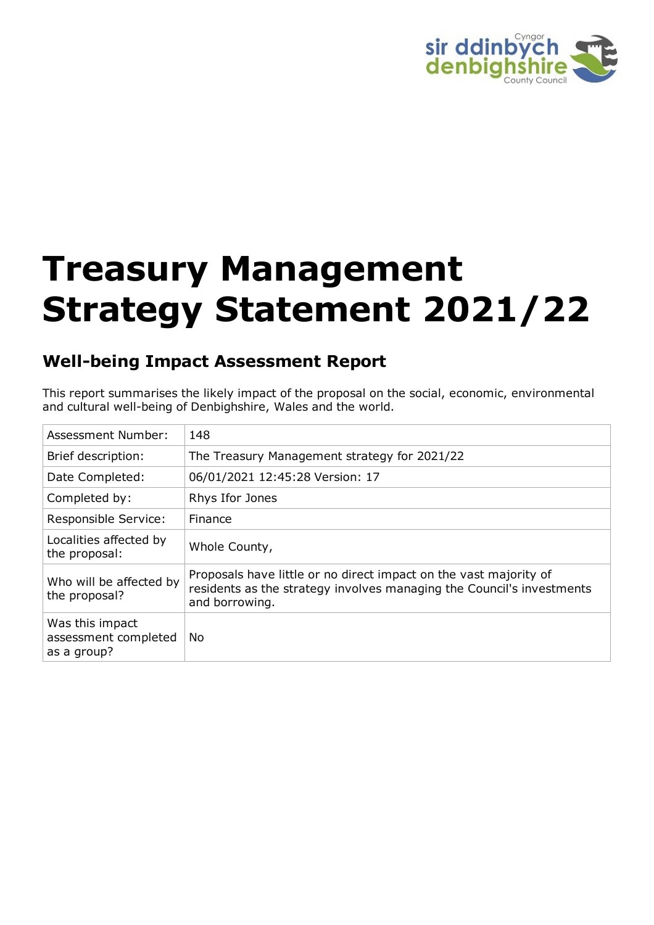

# **Treasury Management Strategy Statement 2021/22**

# **Well-being Impact Assessment Report**

This report summarises the likely impact of the proposal on the social, economic, environmental and cultural well-being of Denbighshire, Wales and the world.

| Assessment Number:                                     | 148                                                                                                                                                          |
|--------------------------------------------------------|--------------------------------------------------------------------------------------------------------------------------------------------------------------|
| Brief description:                                     | The Treasury Management strategy for 2021/22                                                                                                                 |
| Date Completed:                                        | 06/01/2021 12:45:28 Version: 17                                                                                                                              |
| Completed by:                                          | Rhys Ifor Jones                                                                                                                                              |
| Responsible Service:                                   | <b>Finance</b>                                                                                                                                               |
| Localities affected by<br>the proposal:                | Whole County,                                                                                                                                                |
| Who will be affected by<br>the proposal?               | Proposals have little or no direct impact on the vast majority of<br>residents as the strategy involves managing the Council's investments<br>and borrowing. |
| Was this impact<br>assessment completed<br>as a group? | No.                                                                                                                                                          |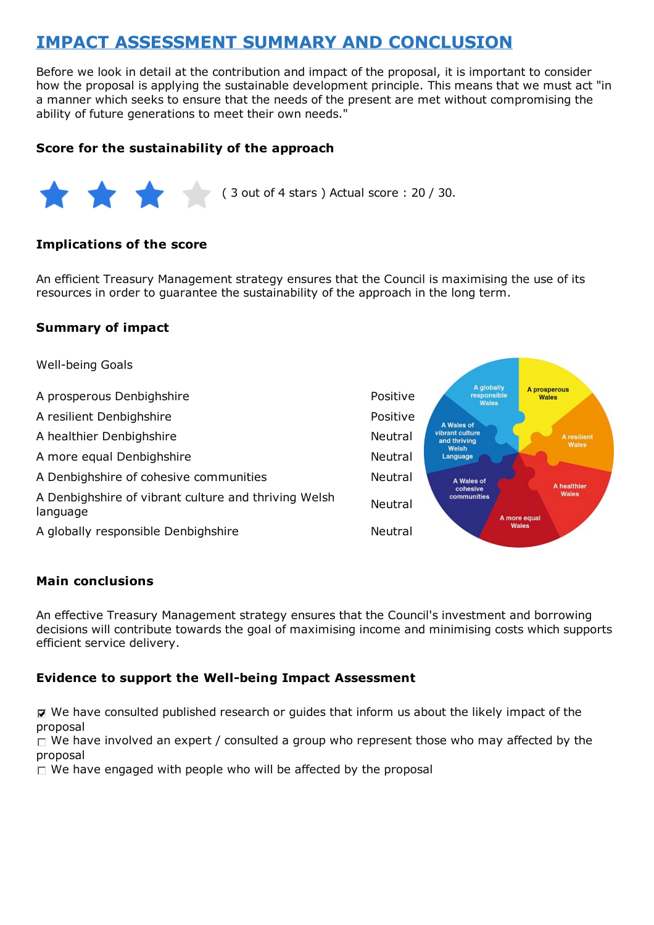# **IMPACT ASSESSMENT SUMMARY AND CONCLUSION**

Before we look in detail at the contribution and impact of the proposal, it is important to consider how the proposal is applying the sustainable development principle. This means that we must act "in a manner which seeks to ensure that the needs of the present are met without compromising the ability of future generations to meet their own needs."

#### **Score for the sustainability of the approach**



( 3 out of 4 stars ) Actual score : 20 / 30.

#### **Implications of the score**

An efficient Treasury Management strategy ensures that the Council is maximising the use of its resources in order to guarantee the sustainability of the approach in the long term.

#### **Summary of impact**



#### **Main conclusions**

An effective Treasury Management strategy ensures that the Council's investment and borrowing decisions will contribute towards the goal of maximising income and minimising costs which supports efficient service delivery.

#### **Evidence to support the Well-being Impact Assessment**

 $\nabla$  We have consulted published research or guides that inform us about the likely impact of the proposal

 $\Box$  We have involved an expert / consulted a group who represent those who may affected by the proposal

 $\Box$  We have engaged with people who will be affected by the proposal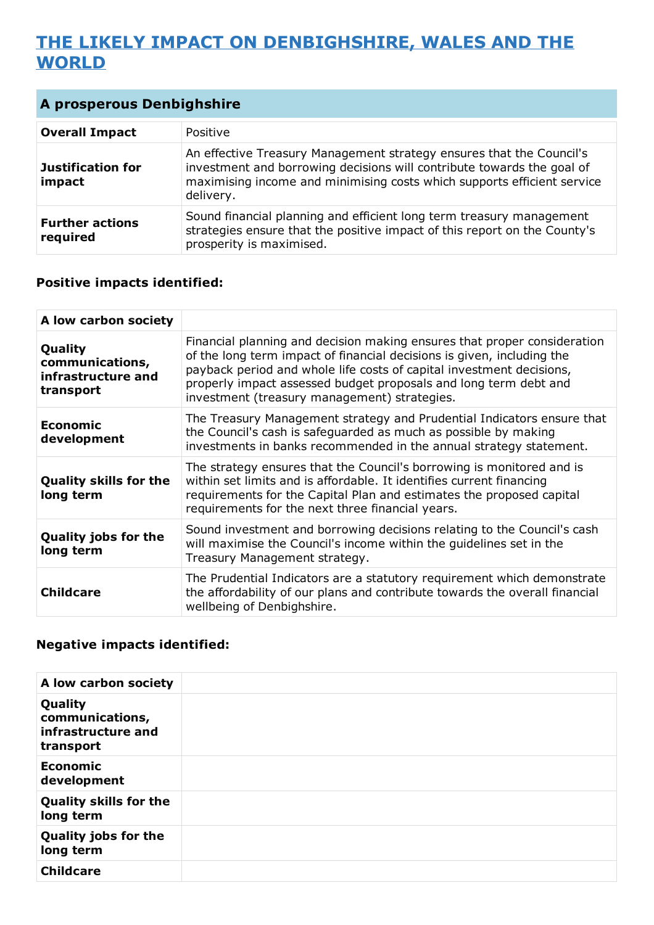# **THE LIKELY IMPACT ON DENBIGHSHIRE, WALES AND THE WORLD**

| <b>A prosperous Denbighshire</b>   |                                                                                                                                                                                                                                        |
|------------------------------------|----------------------------------------------------------------------------------------------------------------------------------------------------------------------------------------------------------------------------------------|
| <b>Overall Impact</b>              | Positive                                                                                                                                                                                                                               |
| <b>Justification for</b><br>impact | An effective Treasury Management strategy ensures that the Council's<br>investment and borrowing decisions will contribute towards the goal of<br>maximising income and minimising costs which supports efficient service<br>delivery. |
| <b>Further actions</b><br>required | Sound financial planning and efficient long term treasury management<br>strategies ensure that the positive impact of this report on the County's<br>prosperity is maximised.                                                          |

#### **Positive impacts identified:**

| A low carbon society                                          |                                                                                                                                                                                                                                                                                                                                                |
|---------------------------------------------------------------|------------------------------------------------------------------------------------------------------------------------------------------------------------------------------------------------------------------------------------------------------------------------------------------------------------------------------------------------|
| Quality<br>communications,<br>infrastructure and<br>transport | Financial planning and decision making ensures that proper consideration<br>of the long term impact of financial decisions is given, including the<br>payback period and whole life costs of capital investment decisions,<br>properly impact assessed budget proposals and long term debt and<br>investment (treasury management) strategies. |
| <b>Economic</b><br>development                                | The Treasury Management strategy and Prudential Indicators ensure that<br>the Council's cash is safeguarded as much as possible by making<br>investments in banks recommended in the annual strategy statement.                                                                                                                                |
| <b>Quality skills for the</b><br>long term                    | The strategy ensures that the Council's borrowing is monitored and is<br>within set limits and is affordable. It identifies current financing<br>requirements for the Capital Plan and estimates the proposed capital<br>requirements for the next three financial years.                                                                      |
| <b>Quality jobs for the</b><br>long term                      | Sound investment and borrowing decisions relating to the Council's cash<br>will maximise the Council's income within the guidelines set in the<br>Treasury Management strategy.                                                                                                                                                                |
| <b>Childcare</b>                                              | The Prudential Indicators are a statutory requirement which demonstrate<br>the affordability of our plans and contribute towards the overall financial<br>wellbeing of Denbighshire.                                                                                                                                                           |

#### **Negative impacts identified:**

| A low carbon society                                          |  |
|---------------------------------------------------------------|--|
| Quality<br>communications,<br>infrastructure and<br>transport |  |
| <b>Economic</b><br>development                                |  |
| <b>Quality skills for the</b><br>long term                    |  |
| <b>Quality jobs for the</b><br>long term                      |  |
| <b>Childcare</b>                                              |  |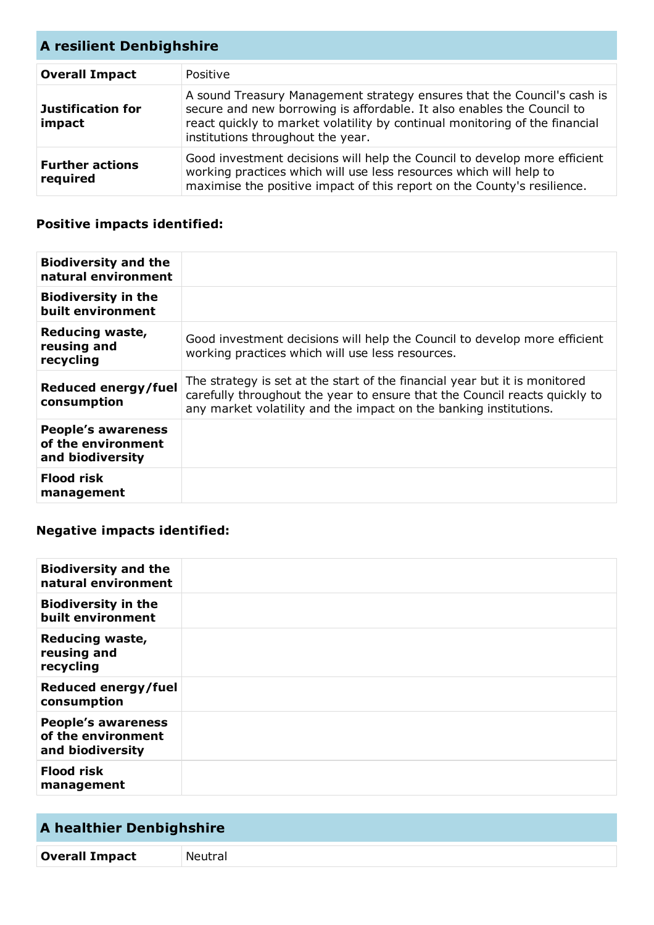| <b>A resilient Denbighshire</b>    |                                                                                                                                                                                                                                                                       |
|------------------------------------|-----------------------------------------------------------------------------------------------------------------------------------------------------------------------------------------------------------------------------------------------------------------------|
| <b>Overall Impact</b>              | Positive                                                                                                                                                                                                                                                              |
| <b>Justification for</b><br>impact | A sound Treasury Management strategy ensures that the Council's cash is<br>secure and new borrowing is affordable. It also enables the Council to<br>react quickly to market volatility by continual monitoring of the financial<br>institutions throughout the year. |
| <b>Further actions</b><br>required | Good investment decisions will help the Council to develop more efficient<br>working practices which will use less resources which will help to<br>maximise the positive impact of this report on the County's resilience.                                            |

## **Positive impacts identified:**

| <b>Biodiversity and the</b><br>natural environment                  |                                                                                                                                                                                                                               |
|---------------------------------------------------------------------|-------------------------------------------------------------------------------------------------------------------------------------------------------------------------------------------------------------------------------|
| <b>Biodiversity in the</b><br>built environment                     |                                                                                                                                                                                                                               |
| Reducing waste,<br>reusing and<br>recycling                         | Good investment decisions will help the Council to develop more efficient<br>working practices which will use less resources.                                                                                                 |
| <b>Reduced energy/fuel</b><br>consumption                           | The strategy is set at the start of the financial year but it is monitored<br>carefully throughout the year to ensure that the Council reacts quickly to<br>any market volatility and the impact on the banking institutions. |
| <b>People's awareness</b><br>of the environment<br>and biodiversity |                                                                                                                                                                                                                               |
| <b>Flood risk</b><br>management                                     |                                                                                                                                                                                                                               |

## **Negative impacts identified:**

| <b>Biodiversity and the</b><br>natural environment                  |  |
|---------------------------------------------------------------------|--|
| <b>Biodiversity in the</b><br>built environment                     |  |
| <b>Reducing waste,</b><br>reusing and<br>recycling                  |  |
| Reduced energy/fuel<br>consumption                                  |  |
| <b>People's awareness</b><br>of the environment<br>and biodiversity |  |
| <b>Flood risk</b><br>management                                     |  |

# **A healthier Denbighshire**

**Overall Impact** Neutral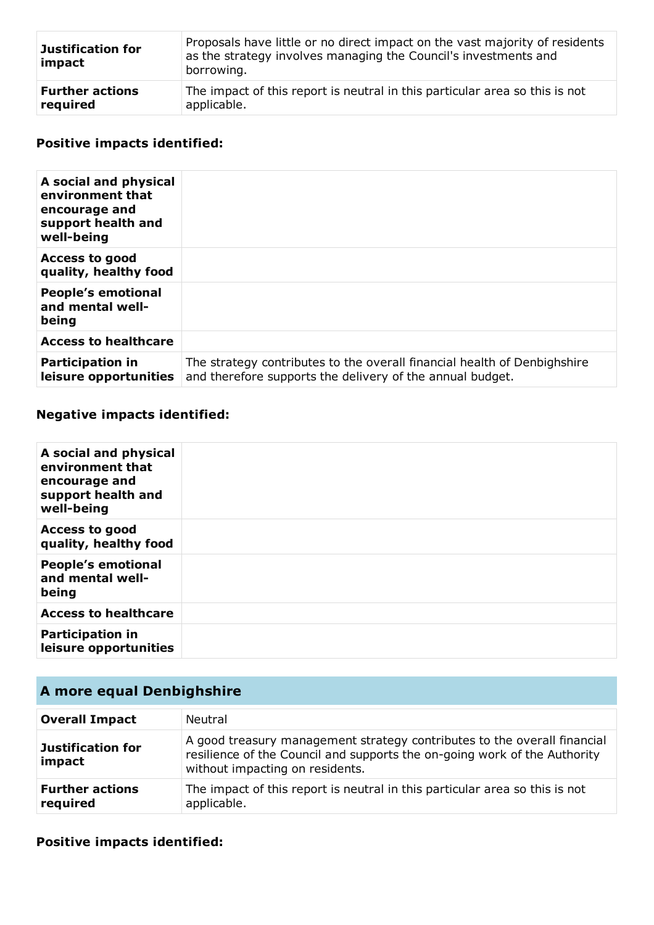| <b>Justification for</b><br>impact | Proposals have little or no direct impact on the vast majority of residents<br>as the strategy involves managing the Council's investments and<br>borrowing. |
|------------------------------------|--------------------------------------------------------------------------------------------------------------------------------------------------------------|
| <b>Further actions</b>             | The impact of this report is neutral in this particular area so this is not                                                                                  |
| required                           | applicable.                                                                                                                                                  |

## **Positive impacts identified:**

| A social and physical<br>environment that<br>encourage and<br>support health and<br>well-being |                                                                                                                                       |
|------------------------------------------------------------------------------------------------|---------------------------------------------------------------------------------------------------------------------------------------|
| <b>Access to good</b><br>quality, healthy food                                                 |                                                                                                                                       |
| <b>People's emotional</b><br>and mental well-<br>being                                         |                                                                                                                                       |
| <b>Access to healthcare</b>                                                                    |                                                                                                                                       |
| <b>Participation in</b><br>leisure opportunities                                               | The strategy contributes to the overall financial health of Denbighshire<br>and therefore supports the delivery of the annual budget. |

## **Negative impacts identified:**

| A social and physical<br>environment that<br>encourage and<br>support health and<br>well-being |  |
|------------------------------------------------------------------------------------------------|--|
| <b>Access to good</b><br>quality, healthy food                                                 |  |
| <b>People's emotional</b><br>and mental well-<br>being                                         |  |
| <b>Access to healthcare</b>                                                                    |  |
| <b>Participation in</b><br>leisure opportunities                                               |  |

## **A more equal Denbighshire**

| <b>Overall Impact</b>              | <b>Neutral</b>                                                                                                                                                                           |
|------------------------------------|------------------------------------------------------------------------------------------------------------------------------------------------------------------------------------------|
| <b>Justification for</b><br>impact | A good treasury management strategy contributes to the overall financial<br>resilience of the Council and supports the on-going work of the Authority<br>without impacting on residents. |
| <b>Further actions</b><br>required | The impact of this report is neutral in this particular area so this is not<br>applicable.                                                                                               |

## **Positive impacts identified:**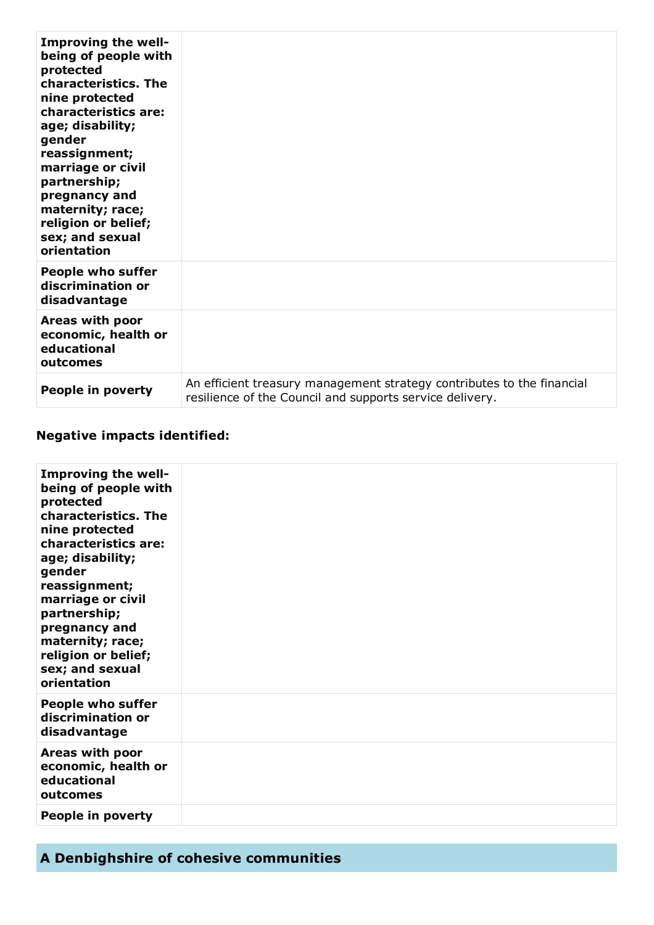| <b>Improving the well-</b><br>being of people with<br>protected<br>characteristics. The<br>nine protected<br>characteristics are:<br>age; disability;<br>gender<br>reassignment;<br>marriage or civil<br>partnership;<br>pregnancy and<br>maternity; race;<br>religion or belief;<br>sex; and sexual<br>orientation |                                                                                                                                    |
|---------------------------------------------------------------------------------------------------------------------------------------------------------------------------------------------------------------------------------------------------------------------------------------------------------------------|------------------------------------------------------------------------------------------------------------------------------------|
| <b>People who suffer</b><br>discrimination or<br>disadvantage                                                                                                                                                                                                                                                       |                                                                                                                                    |
| Areas with poor<br>economic, health or<br>educational<br>outcomes                                                                                                                                                                                                                                                   |                                                                                                                                    |
| People in poverty                                                                                                                                                                                                                                                                                                   | An efficient treasury management strategy contributes to the financial<br>resilience of the Council and supports service delivery. |

## **Negative impacts identified:**

| Improving the well-<br>being of people with<br>protected<br>characteristics. The<br>nine protected<br>characteristics are:<br>age; disability;<br>gender<br>reassignment;<br>marriage or civil<br>partnership;<br>pregnancy and<br>maternity; race;<br>religion or belief;<br>sex; and sexual<br>orientation |  |
|--------------------------------------------------------------------------------------------------------------------------------------------------------------------------------------------------------------------------------------------------------------------------------------------------------------|--|
| <b>People who suffer</b><br>discrimination or<br>disadvantage                                                                                                                                                                                                                                                |  |
| Areas with poor<br>economic, health or<br>educational<br>outcomes                                                                                                                                                                                                                                            |  |
| People in poverty                                                                                                                                                                                                                                                                                            |  |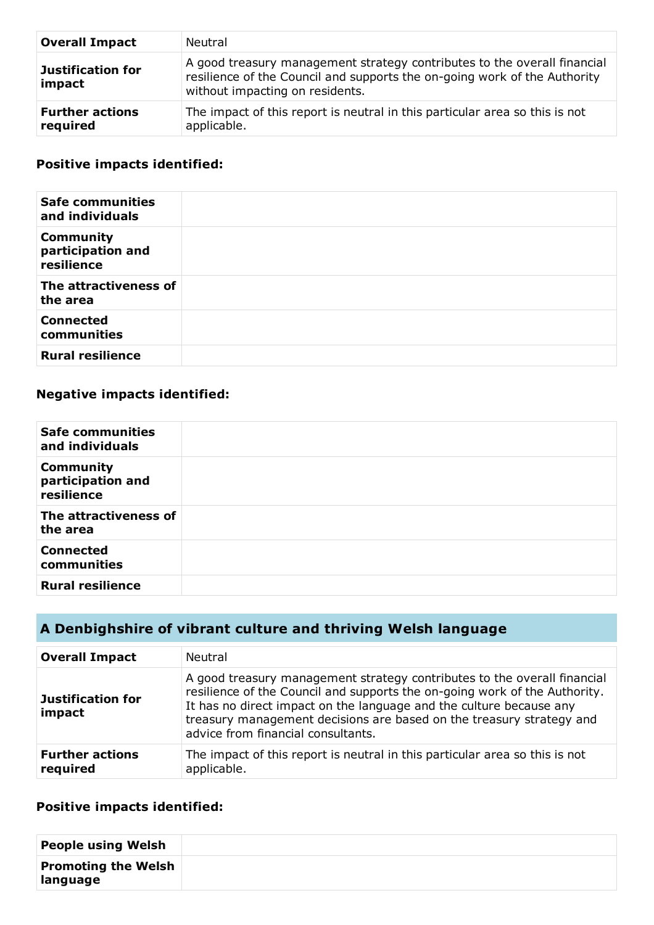| <b>Overall Impact</b>              | Neutral                                                                                                                                                                                  |
|------------------------------------|------------------------------------------------------------------------------------------------------------------------------------------------------------------------------------------|
| <b>Justification for</b><br>impact | A good treasury management strategy contributes to the overall financial<br>resilience of the Council and supports the on-going work of the Authority<br>without impacting on residents. |
| <b>Further actions</b><br>required | The impact of this report is neutral in this particular area so this is not<br>applicable.                                                                                               |

#### **Positive impacts identified:**

| <b>Safe communities</b><br>and individuals          |  |
|-----------------------------------------------------|--|
| <b>Community</b><br>participation and<br>resilience |  |
| The attractiveness of<br>the area                   |  |
| <b>Connected</b><br>communities                     |  |
| <b>Rural resilience</b>                             |  |

### **Negative impacts identified:**

| <b>Safe communities</b><br>and individuals          |  |
|-----------------------------------------------------|--|
| <b>Community</b><br>participation and<br>resilience |  |
| The attractiveness of<br>the area                   |  |
| <b>Connected</b><br>communities                     |  |
| <b>Rural resilience</b>                             |  |

# **A Denbighshire of vibrant culture and thriving Welsh language**

| <b>Overall Impact</b>              | Neutral                                                                                                                                                                                                                                                                                                                                     |
|------------------------------------|---------------------------------------------------------------------------------------------------------------------------------------------------------------------------------------------------------------------------------------------------------------------------------------------------------------------------------------------|
| <b>Justification for</b><br>impact | A good treasury management strategy contributes to the overall financial<br>resilience of the Council and supports the on-going work of the Authority.<br>It has no direct impact on the language and the culture because any<br>treasury management decisions are based on the treasury strategy and<br>advice from financial consultants. |
| <b>Further actions</b><br>required | The impact of this report is neutral in this particular area so this is not<br>applicable.                                                                                                                                                                                                                                                  |

#### **Positive impacts identified:**

| <b>People using Welsh</b>              |  |
|----------------------------------------|--|
| <b>Promoting the Welsh</b><br>language |  |